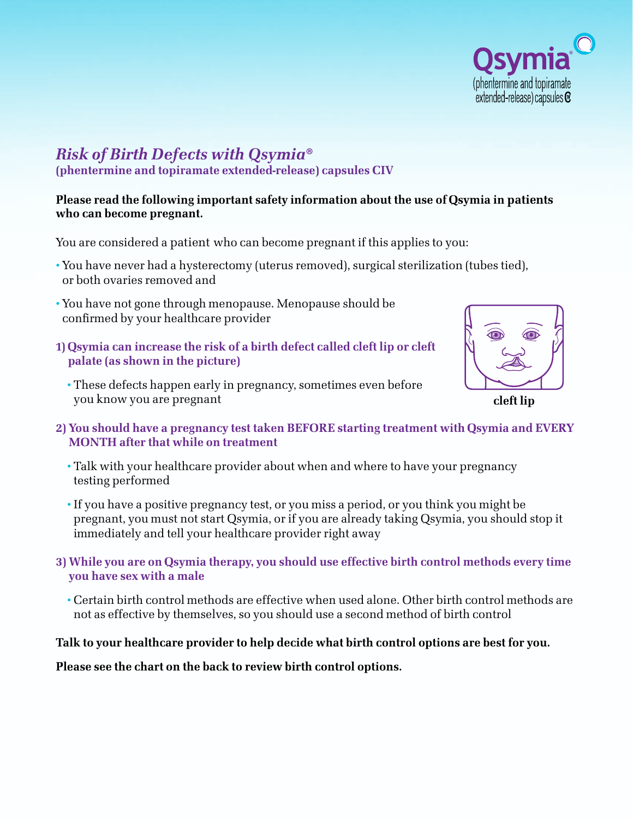

## Risk of Birth Defects with Qsymia

(phentermine and topiramate extended-release) capsules CIV

## Please read the following important safety information about the use of Qsymia in **patients** who can become pregnant.

You are considered a patient who can become pregnant if this applies to you:

- You have never had a hysterectomy (uterus removed), surgical sterilization (tubes tied), or both ovaries removed and
- You have not gone through menopause. Menopause should be confirmed by your healthcare provider
- 1) Qsymia can increase the risk of a birth defect called cleft lip or cleft palate (as shown in the picture)
	- These defects happen early in pregnancy, sometimes even before you know you are pregnant



cleft lip

- 2) You should have a pregnancy test taken BEFORE starting treatment with Qsymia and EVERY MONTH after that while on treatment
	- Talk with your healthcare provider about when and where to have your pregnancy testing performed
	- If you have a positive pregnancy test, or you miss a period, or you think you might be pregnant, you must not start Qsymia, or if you are already taking Qsymia, you should stop it immediately and tell your healthcare provider right away
- 3) While you are on Qsymia therapy, you should use effective birth control methods every time you have sex with a male
	- Certain birth control methods are effective when used alone. Other birth control methods are not as effective by themselves, so you should use a second method of birth control

## Talk to your healthcare provider to help decide what birth control options are best for you.

Please see the chart on the back to review birth control options.